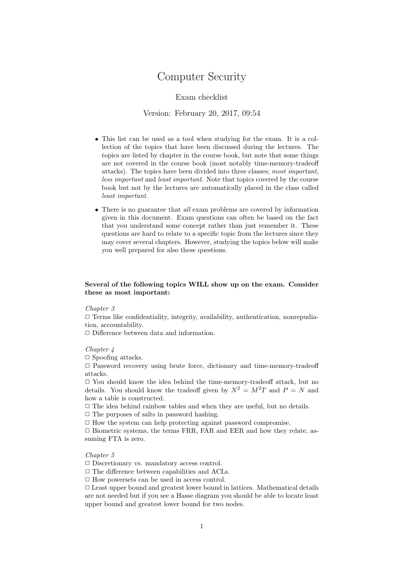# Computer Security

# Exam checklist

## Version: February 20, 2017, 09:54

- This list can be used as a tool when studying for the exam. It is a collection of the topics that have been discussed during the lectures. The topics are listed by chapter in the course book, but note that some things are not covered in the course book (most notably time-memory-tradeoff attacks). The topics have been divided into three classes; most important, less important and least important. Note that topics covered by the course book but not by the lectures are automatically placed in the class called least important.
- There is no guarantee that *all* exam problems are covered by information given in this document. Exam questions can often be based on the fact that you understand some concept rather than just remember it. These questions are hard to relate to a specific topic from the lectures since they may cover several chapters. However, studying the topics below will make you well prepared for also these questions.

## Several of the following topics WILL show up on the exam. Consider these as most important:

## Chapter 3

 $\Box$  Terms like confidentiality, integrity, availability, authentication, nonrepudiation, accountability.

□ Difference between data and information.

#### Chapter 4

 $\Box$  Spoofing attacks.

 $\Box$  Password recovery using brute force, dictionary and time-memory-tradeoff attacks.

 $\Box$  You should know the idea behind the time-memory-tradeoff attack, but no details. You should know the tradeoff given by  $N^2 = M^2T$  and  $P = N$  and how a table is constructed.

 $\Box$  The idea behind rainbow tables and when they are useful, but no details.

 $\Box$  The purposes of salts in password hashing.

 $\Box$  How the system can help protecting against password compromise.

 $\Box$  Biometric systems, the terms FRR, FAR and EER and how they relate, assuming FTA is zero.

#### Chapter 5

 $\Box$  Discretionary vs. mandatory access control.

 $\Box$  The difference between capabilities and ACLs.

 $\Box$  How powersets can be used in access control.

 $\Box$  Least upper bound and greatest lower bound in lattices. Mathematical details are not needed but if you see a Hasse diagram you should be able to locate least upper bound and greatest lower bound for two nodes.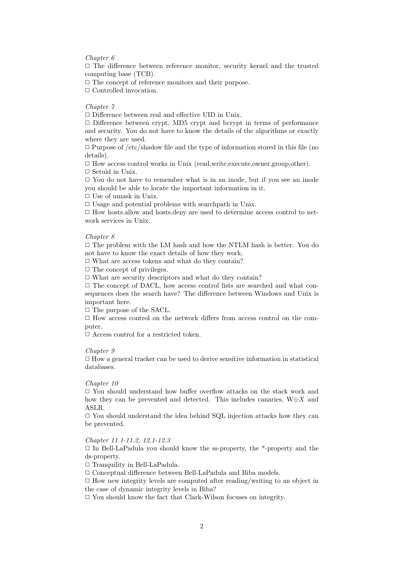# Chapter 6

 $\Box$  The difference between reference monitor, security kernel and the trusted computing base (TCB).

 $\Box$  The concept of reference monitors and their purpose.

 $\Box$  Controlled invocation.

#### Chapter 7

 $\Box$  Difference between real and effective UID in Unix.

 $\Box$  Difference between crypt, MD5 crypt and bcrypt in terms of performance and security. You do not have to know the details of the algorithms or exactly where they are used.

 $\Box$  Purpose of /etc/shadow file and the type of information stored in this file (no details).

 $\Box$  How access control works in Unix (read,write,execute,owner,group,other).

 $\Box$  Setuid in Unix.

 $\Box$  You do not have to remember what is in an inode, but if you see an inode you should be able to locate the important information in it.

 $\Box$  Use of umask in Unix.

 $\Box$  Usage and potential problems with searchpath in Unix.

 $\Box$  How hosts.allow and hosts.deny are used to determine access control to network services in Unix.

## Chapter 8

 $\Box$  The problem with the LM hash and how the NTLM hash is better. You do not have to know the exact details of how they work.

 $\Box$  What are access tokens and what do they contain?

 $\Box$  The concept of privileges.

 $\Box$  What are security descriptors and what do they contain?

 $\Box$  The concept of DACL, how access control lists are searched and what consequences does the search have? The difference between Windows and Unix is important here.

 $\Box$  The purpose of the SACL.

 $\Box$  How access control on the network differs from access control on the computer.

 $\Box$  Access control for a restricted token.

#### Chapter 9

 $\Box$  How a general tracker can be used to derive sensitive information in statistical databases.

#### Chapter 10

 $\Box$  You should understand how buffer overflow attacks on the stack work and how they can be prevented and detected. This includes canaries,  $W \oplus X$  and ASLR.

 $\Box$  You should understand the idea behind SQL injection attacks how they can be prevented.

#### Chapter 11.1-11.2, 12.1-12.3

 $\Box$  In Bell-LaPadula you should know the ss-property, the \*-property and the ds-property.

 $\Box$  Tranquility in Bell-LaPadula.

✷ Conceptual difference between Bell-LaPadula and Biba models.

 $\Box$  How new integrity levels are computed after reading/writing to an object in the case of dynamic integrity levels in Biba?

 $\Box$  You should know the fact that Clark-Wilson focuses on integrity.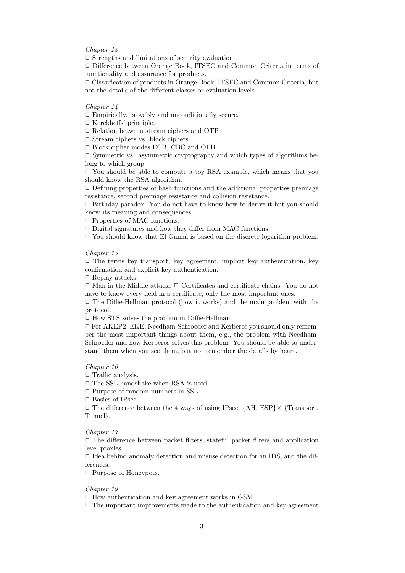## Chapter 13

 $\Box$  Strengths and limitations of security evaluation.

✷ Difference between Orange Book, ITSEC and Common Criteria in terms of functionality and assurance for products.

✷ Classification of products in Orange Book, ITSEC and Common Criteria, but not the details of the different classes or evaluation levels.

## Chapter 14

 $\Box$  Empirically, provably and unconditionally secure.

 $\Box$  Kerckhoffs' principle.

✷ Relation between stream ciphers and OTP.

 $\Box$  Stream ciphers vs. block ciphers.

□ Block cipher modes ECB, CBC and OFB.

 $\Box$  Symmetric vs. asymmetric cryptography and which types of algorithms belong to which group.

 $\Box$  You should be able to compute a toy RSA example, which means that you should know the RSA algorithm.

 $\Box$  Defining properties of hash functions and the additional properties preimage resistance, second preimage resistance and collision resistance.

 $\Box$  Birthday paradox. You do not have to know how to derive it but you should know its meaning and consequences.

 $\Box$  Properties of MAC functions.

 $\Box$  Digital signatures and how they differ from MAC functions.

 $\Box$  You should know that El Gamal is based on the discrete logarithm problem.

### Chapter 15

 $\Box$  The terms key transport, key agreement, implicit key authentication, key confirmation and explicit key authentication.

 $\Box$  Replay attacks.

 $\Box$  Man-in-the-Middle attacks  $\Box$  Certificates and certificate chains. You do not have to know every field in a certificate, only the most important ones.

 $\Box$  The Diffie-Hellman protocol (how it works) and the main problem with the protocol.

 $\Box$  How STS solves the problem in Diffie-Hellman.

 $\Box$  For AKEP2, EKE, Needham-Schroeder and Kerberos you should only remember the most important things about them, e.g., the problem with Needham-Schroeder and how Kerberos solves this problem. You should be able to understand them when you see them, but not remember the details by heart.

### Chapter 16

 $\Box$  Traffic analysis.

 $\Box$  The SSL handshake when RSA is used.

 $\Box$  Purpose of random numbers in SSL.

 $\Box$  Basics of IPsec.

 $\Box$  The difference between the 4 ways of using IPsec,  $\{AH, ESP\} \times \{Transport,$ Tunnel}.

Chapter 17

 $\Box$  The difference between packet filters, stateful packet filters and application level proxies.

 $\Box$  Idea behind anomaly detection and misuse detection for an IDS, and the differences.

 $\Box$  Purpose of Honeypots.

#### Chapter 19

 $\Box$  How authentication and key agreement works in GSM.

 $\Box$  The important improvements made to the authentication and key agreement